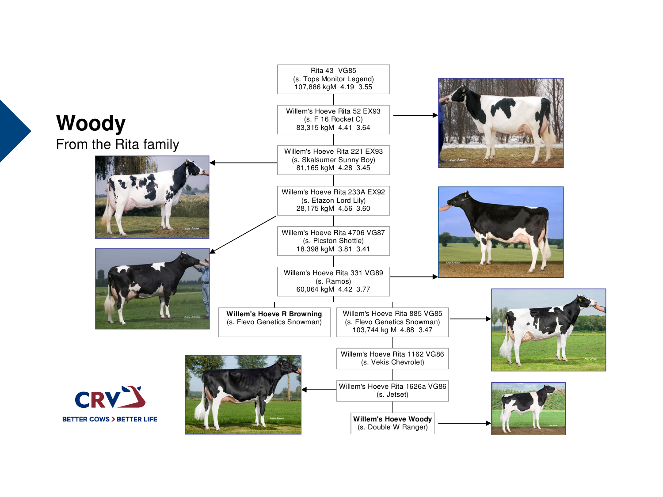